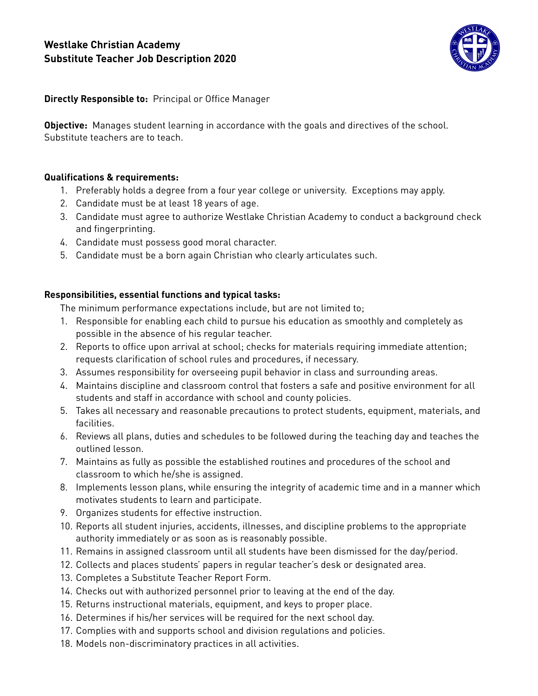# **Westlake Christian Academy Substitute Teacher Job Description 2020**



**Directly Responsible to:** Principal or Office Manager

**Objective:** Manages student learning in accordance with the goals and directives of the school. Substitute teachers are to teach.

## **Qualifications & requirements:**

- 1. Preferably holds a degree from a four year college or university. Exceptions may apply.
- 2. Candidate must be at least 18 years of age.
- 3. Candidate must agree to authorize Westlake Christian Academy to conduct a background check and fingerprinting.
- 4. Candidate must possess good moral character.
- 5. Candidate must be a born again Christian who clearly articulates such.

## **Responsibilities, essential functions and typical tasks:**

The minimum performance expectations include, but are not limited to;

- 1. Responsible for enabling each child to pursue his education as smoothly and completely as possible in the absence of his regular teacher.
- 2. Reports to office upon arrival at school; checks for materials requiring immediate attention; requests clarification of school rules and procedures, if necessary.
- 3. Assumes responsibility for overseeing pupil behavior in class and surrounding areas.
- 4. Maintains discipline and classroom control that fosters a safe and positive environment for all students and staff in accordance with school and county policies.
- 5. Takes all necessary and reasonable precautions to protect students, equipment, materials, and facilities.
- 6. Reviews all plans, duties and schedules to be followed during the teaching day and teaches the outlined lesson.
- 7. Maintains as fully as possible the established routines and procedures of the school and classroom to which he/she is assigned.
- 8. Implements lesson plans, while ensuring the integrity of academic time and in a manner which motivates students to learn and participate.
- 9. Organizes students for effective instruction.
- 10. Reports all student injuries, accidents, illnesses, and discipline problems to the appropriate authority immediately or as soon as is reasonably possible.
- 11. Remains in assigned classroom until all students have been dismissed for the day/period.
- 12. Collects and places students' papers in regular teacher's desk or designated area.
- 13. Completes a Substitute Teacher Report Form.
- 14. Checks out with authorized personnel prior to leaving at the end of the day.
- 15. Returns instructional materials, equipment, and keys to proper place.
- 16. Determines if his/her services will be required for the next school day.
- 17. Complies with and supports school and division regulations and policies.
- 18. Models non-discriminatory practices in all activities.